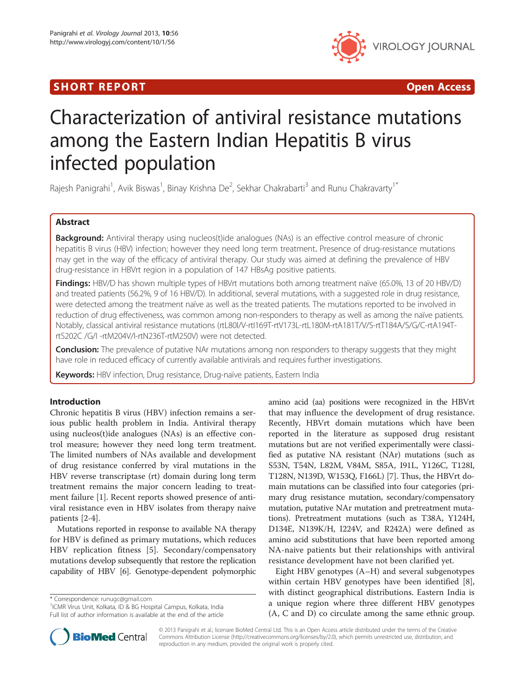## SHORT REPORT **The Contract of the Contract Open Access** (SHORT **Contract of the Contract Open Access**



# Characterization of antiviral resistance mutations among the Eastern Indian Hepatitis B virus infected population

Rajesh Panigrahi<sup>1</sup>, Avik Biswas<sup>1</sup>, Binay Krishna De<sup>2</sup>, Sekhar Chakrabarti<sup>3</sup> and Runu Chakravarty<sup>1\*</sup>

## Abstract

Background: Antiviral therapy using nucleos(t)ide analogues (NAs) is an effective control measure of chronic hepatitis B virus (HBV) infection; however they need long term treatment. Presence of drug-resistance mutations may get in the way of the efficacy of antiviral therapy. Our study was aimed at defining the prevalence of HBV drug-resistance in HBVrt region in a population of 147 HBsAg positive patients.

Findings: HBV/D has shown multiple types of HBVrt mutations both among treatment naïve (65.0%, 13 of 20 HBV/D) and treated patients (56.2%, 9 of 16 HBV/D). In additional, several mutations, with a suggested role in drug resistance, were detected among the treatment naïve as well as the treated patients. The mutations reported to be involved in reduction of drug effectiveness, was common among non-responders to therapy as well as among the naïve patients. Notably, classical antiviral resistance mutations (rtL80I/V-rtI169T-rtV173L-rtL180M-rtA181T/V/S-rtT184A/S/G/C-rtA194TrtS202C /G/I -rtM204V/I-rtN236T-rtM250V) were not detected.

**Conclusion:** The prevalence of putative NAr mutations among non responders to therapy suggests that they might have role in reduced efficacy of currently available antivirals and requires further investigations.

**Keywords:** HBV infection, Drug resistance, Drug-naïve patients, Eastern India

## Introduction

Chronic hepatitis B virus (HBV) infection remains a serious public health problem in India. Antiviral therapy using nucleos(t)ide analogues (NAs) is an effective control measure; however they need long term treatment. The limited numbers of NAs available and development of drug resistance conferred by viral mutations in the HBV reverse transcriptase (rt) domain during long term treatment remains the major concern leading to treatment failure [[1](#page-4-0)]. Recent reports showed presence of antiviral resistance even in HBV isolates from therapy naive patients [\[2-4](#page-4-0)].

Mutations reported in response to available NA therapy for HBV is defined as primary mutations, which reduces HBV replication fitness [\[5](#page-4-0)]. Secondary/compensatory mutations develop subsequently that restore the replication capability of HBV [\[6](#page-4-0)]. Genotype-dependent polymorphic

\* Correspondence: [runugc@gmail.com](mailto:runugc@gmail.com) <sup>1</sup>

<sup>1</sup>ICMR Virus Unit, Kolkata, ID & BG Hospital Campus, Kolkata, India Full list of author information is available at the end of the article amino acid (aa) positions were recognized in the HBVrt that may influence the development of drug resistance. Recently, HBVrt domain mutations which have been reported in the literature as supposed drug resistant mutations but are not verified experimentally were classified as putative NA resistant (NAr) mutations (such as S53N, T54N, L82M, V84M, S85A, I91L, Y126C, T128I, T128N, N139D, W153Q, F166L) [[7\]](#page-4-0). Thus, the HBVrt domain mutations can be classified into four categories (primary drug resistance mutation, secondary/compensatory mutation, putative NAr mutation and pretreatment mutations). Pretreatment mutations (such as T38A, Y124H, D134E, N139K/H, I224V, and R242A) were defined as amino acid substitutions that have been reported among NA-naive patients but their relationships with antiviral resistance development have not been clarified yet.

Eight HBV genotypes (A–H) and several subgenotypes within certain HBV genotypes have been identified [\[8](#page-4-0)], with distinct geographical distributions. Eastern India is a unique region where three different HBV genotypes (A, C and D) co circulate among the same ethnic group.



© 2013 Panigrahi et al.; licensee BioMed Central Ltd. This is an Open Access article distributed under the terms of the Creative Commons Attribution License [\(http://creativecommons.org/licenses/by/2.0\)](http://creativecommons.org/licenses/by/2.0), which permits unrestricted use, distribution, and reproduction in any medium, provided the original work is properly cited.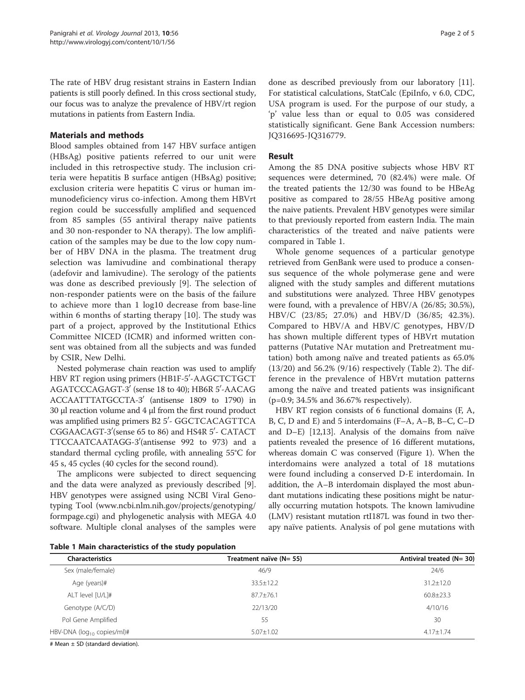The rate of HBV drug resistant strains in Eastern Indian patients is still poorly defined. In this cross sectional study, our focus was to analyze the prevalence of HBV/rt region mutations in patients from Eastern India.

## Materials and methods

Blood samples obtained from 147 HBV surface antigen (HBsAg) positive patients referred to our unit were included in this retrospective study. The inclusion criteria were hepatitis B surface antigen (HBsAg) positive; exclusion criteria were hepatitis C virus or human immunodeficiency virus co-infection. Among them HBVrt region could be successfully amplified and sequenced from 85 samples (55 antiviral therapy naïve patients and 30 non-responder to NA therapy). The low amplification of the samples may be due to the low copy number of HBV DNA in the plasma. The treatment drug selection was lamivudine and combinational therapy (adefovir and lamivudine). The serology of the patients was done as described previously [[9\]](#page-4-0). The selection of non-responder patients were on the basis of the failure to achieve more than 1 log10 decrease from base-line within 6 months of starting therapy [[10](#page-4-0)]. The study was part of a project, approved by the Institutional Ethics Committee NICED (ICMR) and informed written consent was obtained from all the subjects and was funded by CSIR, New Delhi.

Nested polymerase chain reaction was used to amplify HBV RT region using primers (HB1F-5'-AAGCTCTGCT AGATCCCAGAGT-3' (sense 18 to 40); HB6R 5'-AACAG ACCAATTTATGCCTA-3' (antisense 1809 to 1790) in 30 μl reaction volume and 4 μl from the first round product was amplified using primers B2 5′- GGCTCACAGTTCA CGGAACAGT-3'(sense 65 to 86) and HS4R 5'- CATACT TTCCAATCAATAGG-30 (antisense 992 to 973) and a standard thermal cycling profile, with annealing 55°C for 45 s, 45 cycles (40 cycles for the second round).

The amplicons were subjected to direct sequencing and the data were analyzed as previously described [\[9](#page-4-0)]. HBV genotypes were assigned using NCBI Viral Genotyping Tool ([www.ncbi.nlm.nih.gov/projects/genotyping/](http://www.ncbi.nlm.nih.gov/projects/genotyping/formpage.cgi) [formpage.cgi](http://www.ncbi.nlm.nih.gov/projects/genotyping/formpage.cgi)) and phylogenetic analysis with MEGA 4.0 software. Multiple clonal analyses of the samples were

done as described previously from our laboratory [\[11](#page-4-0)]. For statistical calculations, StatCalc (EpiInfo, v 6.0, CDC, USA program is used. For the purpose of our study, a 'p' value less than or equal to 0.05 was considered statistically significant. Gene Bank Accession numbers: JQ316695-JQ316779.

## Result

Among the 85 DNA positive subjects whose HBV RT sequences were determined, 70 (82.4%) were male. Of the treated patients the 12/30 was found to be HBeAg positive as compared to 28/55 HBeAg positive among the naive patients. Prevalent HBV genotypes were similar to that previously reported from eastern India. The main characteristics of the treated and naïve patients were compared in Table 1.

Whole genome sequences of a particular genotype retrieved from GenBank were used to produce a consensus sequence of the whole polymerase gene and were aligned with the study samples and different mutations and substitutions were analyzed. Three HBV genotypes were found, with a prevalence of HBV/A (26/85; 30.5%), HBV/C (23/85; 27.0%) and HBV/D (36/85; 42.3%). Compared to HBV/A and HBV/C genotypes, HBV/D has shown multiple different types of HBVrt mutation patterns (Putative NAr mutation and Pretreatment mutation) both among naïve and treated patients as 65.0% (13/20) and 56.2% (9/16) respectively (Table [2](#page-2-0)). The difference in the prevalence of HBVrt mutation patterns among the naïve and treated patients was insignificant (p=0.9; 34.5% and 36.67% respectively).

HBV RT region consists of 6 functional domains (F, A, B, C, D and E) and 5 interdomains (F–A, A–B, B–C, C–D and D–E) [\[12,13](#page-4-0)]. Analysis of the domains from naïve patients revealed the presence of 16 different mutations, whereas domain C was conserved (Figure [1\)](#page-2-0). When the interdomains were analyzed a total of 18 mutations were found including a conserved D-E interdomain. In addition, the A–B interdomain displayed the most abundant mutations indicating these positions might be naturally occurring mutation hotspots. The known lamivudine (LMV) resistant mutation rtI187L was found in two therapy naïve patients. Analysis of pol gene mutations with

Table 1 Main characteristics of the study population

| <b>Characteristics</b>           | Treatment naïve (N= 55) | Antiviral treated (N= 30) |  |
|----------------------------------|-------------------------|---------------------------|--|
| Sex (male/female)                | 46/9                    | 24/6                      |  |
| Age (years)#                     | $33.5 \pm 12.2$         | $31.2 \pm 12.0$           |  |
| ALT level [U/L]#                 | $87.7 \pm 76.1$         | $60.8 \pm 23.3$           |  |
| Genotype (A/C/D)                 | 22/13/20                | 4/10/16                   |  |
| Pol Gene Amplified               | 55                      | 30                        |  |
| HBV-DNA ( $log_{10}$ copies/ml)# | $5.07 \pm 1.02$         | $4.17 \pm 1.74$           |  |
|                                  |                         |                           |  |

# Mean  $\pm$  SD (standard deviation).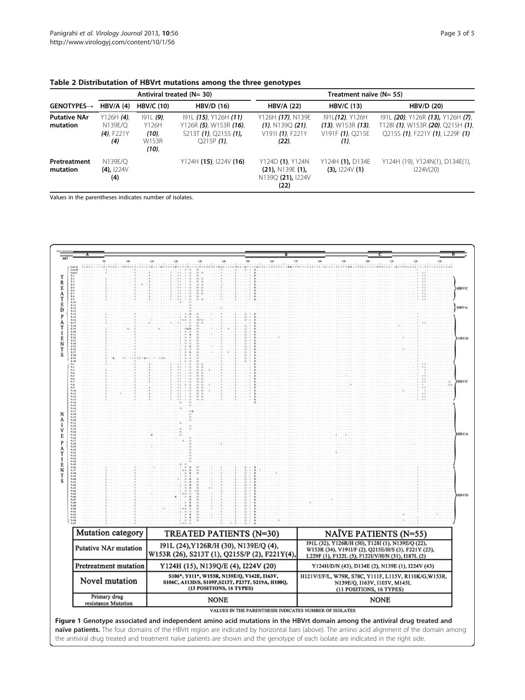| $\mathsf{GENOTYPES}{\rightarrow}$ | Antiviral treated (N= 30)                                     |                                               |                                                                                          | Treatment naïve (N= 55)                                                 |                                                                          |                                                                                                           |  |
|-----------------------------------|---------------------------------------------------------------|-----------------------------------------------|------------------------------------------------------------------------------------------|-------------------------------------------------------------------------|--------------------------------------------------------------------------|-----------------------------------------------------------------------------------------------------------|--|
|                                   | $HBV/A$ (4)                                                   | <b>HBV/C (10)</b>                             | <b>HBV/D (16)</b>                                                                        | <b>HBV/A (22)</b>                                                       | <b>HBV/C (13)</b>                                                        | <b>HBV/D (20)</b>                                                                                         |  |
| <b>Putative NAr</b><br>mutation   | Y126H $(4)$ ,<br>N139E/O<br>$(4)$ . F <sub>221</sub> Y<br>(4) | $191L(9)$ ,<br>Y126H<br>(10)<br>W153R<br>(10) | 191L (15), Y126H (11)<br>Y126R (5), W153R (16),<br>S213T (1), Q215S (1),<br>$O215P(1)$ . | Y126H (17), N139E<br>$(1)$ , N139Q $(21)$ ,<br>V1911 (1), F221Y<br>(22) | 191L(12), Y126H<br>$(13)$ , W153R $(13)$ ,<br>V191F $(1)$ , Q215E<br>(1) | 191L (20), Y126R (13), Y126H (7),<br>T128I (1), W153R (20), Q215H (1),<br>Q215S (1), F221Y (1), L229F (1) |  |
| Pretreatment<br>mutation          | N139E/O<br>$(4)$ , 1224 $V$<br>(4)                            |                                               | $Y124H (15)$ , 1224V (16)                                                                | Y124D (1), Y124N<br>$(21)$ , N139E $(1)$ ,<br>N139Q (21), I224V<br>(22) | Y124H (1), D134E<br>$(3)$ , 1224 $V(1)$                                  | Y124H (19), Y124N(1), D134E(1),<br>1224V(20)                                                              |  |

<span id="page-2-0"></span>

| Table 2 Distributation of HBVrt mutations among the three genotypes |  |  |  |  |  |
|---------------------------------------------------------------------|--|--|--|--|--|
|---------------------------------------------------------------------|--|--|--|--|--|

Values in the parentheses indicates number of isolates.



naïve patients. The four domains of the HBVrt region are indicated by horizontal bars (above). The amino acid alignment of the domain among the antiviral drug treated and treatment naïve patients are shown and the genotype of each isolate are indicated in the right side.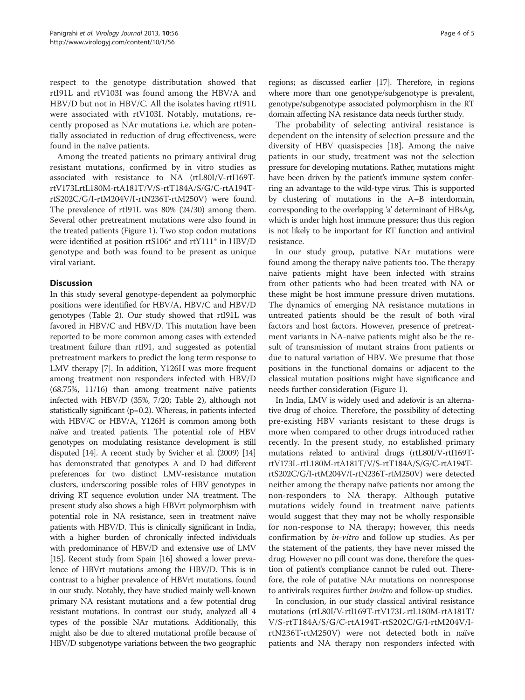respect to the genotype distributation showed that rtI91L and rtV103I was found among the HBV/A and HBV/D but not in HBV/C. All the isolates having rtI91L were associated with rtV103I. Notably, mutations, recently proposed as NAr mutations i.e. which are potentially associated in reduction of drug effectiveness, were found in the naïve patients.

Among the treated patients no primary antiviral drug resistant mutations, confirmed by in vitro studies as associated with resistance to NA (rtL80I/V-rtI169TrtV173LrtL180M-rtA181T/V/S-rtT184A/S/G/C-rtA194TrtS202C/G/I-rtM204V/I-rtN236T-rtM250V) were found. The prevalence of rtI91L was 80% (24/30) among them. Several other pretreatment mutations were also found in the treated patients (Figure [1](#page-2-0)). Two stop codon mutations were identified at position rtS106\* and rtY111\* in HBV/D genotype and both was found to be present as unique viral variant.

## **Discussion**

In this study several genotype-dependent aa polymorphic positions were identified for HBV/A, HBV/C and HBV/D genotypes (Table [2\)](#page-2-0). Our study showed that rtI91L was favored in HBV/C and HBV/D. This mutation have been reported to be more common among cases with extended treatment failure than rtI91, and suggested as potential pretreatment markers to predict the long term response to LMV therapy [\[7\]](#page-4-0). In addition, Y126H was more frequent among treatment non responders infected with HBV/D (68.75%, 11/16) than among treatment naïve patients infected with HBV/D (35%, 7/20; Table [2\)](#page-2-0), although not statistically significant (p=0.2). Whereas, in patients infected with HBV/C or HBV/A, Y126H is common among both naïve and treated patients. The potential role of HBV genotypes on modulating resistance development is still disputed [[14](#page-4-0)]. A recent study by Svicher et al. (2009) [\[14](#page-4-0)] has demonstrated that genotypes A and D had different preferences for two distinct LMV-resistance mutation clusters, underscoring possible roles of HBV genotypes in driving RT sequence evolution under NA treatment. The present study also shows a high HBVrt polymorphism with potential role in NA resistance, seen in treatment naïve patients with HBV/D. This is clinically significant in India, with a higher burden of chronically infected individuals with predominance of HBV/D and extensive use of LMV [[15](#page-4-0)]. Recent study from Spain [\[16\]](#page-4-0) showed a lower prevalence of HBVrt mutations among the HBV/D. This is in contrast to a higher prevalence of HBVrt mutations, found in our study. Notably, they have studied mainly well-known primary NA resistant mutations and a few potential drug resistant mutations. In contrast our study, analyzed all 4 types of the possible NAr mutations. Additionally, this might also be due to altered mutational profile because of HBV/D subgenotype variations between the two geographic

regions; as discussed earlier [\[17\]](#page-4-0). Therefore, in regions where more than one genotype/subgenotype is prevalent, genotype/subgenotype associated polymorphism in the RT domain affecting NA resistance data needs further study.

The probability of selecting antiviral resistance is dependent on the intensity of selection pressure and the diversity of HBV quasispecies [[18\]](#page-4-0). Among the naive patients in our study, treatment was not the selection pressure for developing mutations. Rather, mutations might have been driven by the patient's immune system conferring an advantage to the wild-type virus. This is supported by clustering of mutations in the A–B interdomain, corresponding to the overlapping 'a' determinant of HBsAg, which is under high host immune pressure; thus this region is not likely to be important for RT function and antiviral resistance.

In our study group, putative NAr mutations were found among the therapy naïve patients too. The therapy naive patients might have been infected with strains from other patients who had been treated with NA or these might be host immune pressure driven mutations. The dynamics of emerging NA resistance mutations in untreated patients should be the result of both viral factors and host factors. However, presence of pretreatment variants in NA-naive patients might also be the result of transmission of mutant strains from patients or due to natural variation of HBV. We presume that those positions in the functional domains or adjacent to the classical mutation positions might have significance and needs further consideration (Figure [1](#page-2-0)).

In India, LMV is widely used and adefovir is an alternative drug of choice. Therefore, the possibility of detecting pre-existing HBV variants resistant to these drugs is more when compared to other drugs introduced rather recently. In the present study, no established primary mutations related to antiviral drugs (rtL80I/V-rtI169TrtV173L-rtL180M-rtA181T/V/S-rtT184A/S/G/C-rtA194TrtS202C/G/I-rtM204V/I-rtN236T-rtM250V) were detected neither among the therapy naïve patients nor among the non-responders to NA therapy. Although putative mutations widely found in treatment naive patients would suggest that they may not be wholly responsible for non-response to NA therapy; however, this needs confirmation by in-vitro and follow up studies. As per the statement of the patients, they have never missed the drug. However no pill count was done, therefore the question of patient's compliance cannot be ruled out. Therefore, the role of putative NAr mutations on nonresponse to antivirals requires further *invitro* and follow-up studies.

In conclusion, in our study classical antiviral resistance mutations (rtL80I/V-rtI169T-rtV173L-rtL180M-rtA181T/ V/S-rtT184A/S/G/C-rtA194T-rtS202C/G/I-rtM204V/IrtN236T-rtM250V) were not detected both in naïve patients and NA therapy non responders infected with